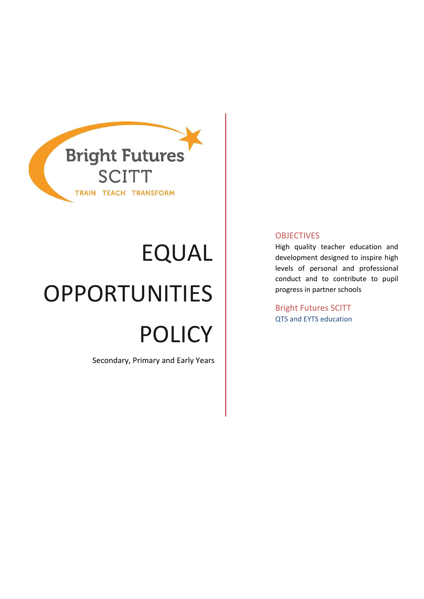

# EQUAL OPPORTUNITIES POLICY

Secondary, Primary and Early Years

## **OBJECTIVES**

High quality teacher education and development designed to inspire high levels of personal and professional conduct and to contribute to pupil progress in partner schools

Bright Futures SCITT QTS and EYTS education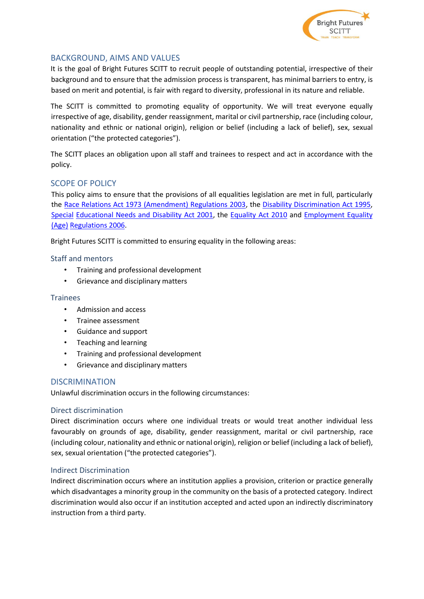

# BACKGROUND, AIMS AND VALUES

It is the goal of Bright Futures SCITT to recruit people of outstanding potential, irrespective of their background and to ensure that the admission process is transparent, has minimal barriers to entry, is based on merit and potential, is fair with regard to diversity, professional in its nature and reliable.

The SCITT is committed to promoting equality of opportunity. We will treat everyone equally irrespective of age, disability, gender reassignment, marital or civil partnership, race (including colour, nationality and ethnic or national origin), religion or belief (including a lack of belief), sex, sexual orientation ("the protected categories").

The SCITT places an obligation upon all staff and trainees to respect and act in accordance with the policy.

# SCOPE OF POLICY

This policy aims to ensure that the provisions of all equalities legislation are met in full, particularly the [Race Relations Act 1973 \(Amendment\) Regulations 2003,](http://www.legislation.gov.uk/ukdsi/2003/0110461835) t[he Disability Discrimination Act 1995](http://www.legislation.gov.uk/ukpga/1995/50/contents), [Special](http://www.legislation.gov.uk/ukpga/2001/10/contents) [Educational Needs and Disability Act 2001,](http://www.legislation.gov.uk/ukpga/2001/10/contents) the [Equality Act 2010](http://www.legislation.gov.uk/ukpga/2010/15/contents) and [Employment Equality](http://www.legislation.gov.uk/uksi/2006/1031/contents/made)  [\(Age\)](http://www.legislation.gov.uk/uksi/2006/1031/contents/made) [Regulations 2006.](http://www.legislation.gov.uk/uksi/2006/1031/contents/made) 

Bright Futures SCITT is committed to ensuring equality in the following areas:

## Staff and mentors

- Training and professional development
- Grievance and disciplinary matters

#### Trainees

- Admission and access
- Trainee assessment
- Guidance and support
- Teaching and learning
- Training and professional development
- Grievance and disciplinary matters

## **DISCRIMINATION**

Unlawful discrimination occurs in the following circumstances:

#### Direct discrimination

Direct discrimination occurs where one individual treats or would treat another individual less favourably on grounds of age, disability, gender reassignment, marital or civil partnership, race (including colour, nationality and ethnic or national origin), religion or belief (including a lack of belief), sex, sexual orientation ("the protected categories").

#### Indirect Discrimination

Indirect discrimination occurs where an institution applies a provision, criterion or practice generally which disadvantages a minority group in the community on the basis of a protected category. Indirect discrimination would also occur if an institution accepted and acted upon an indirectly discriminatory instruction from a third party.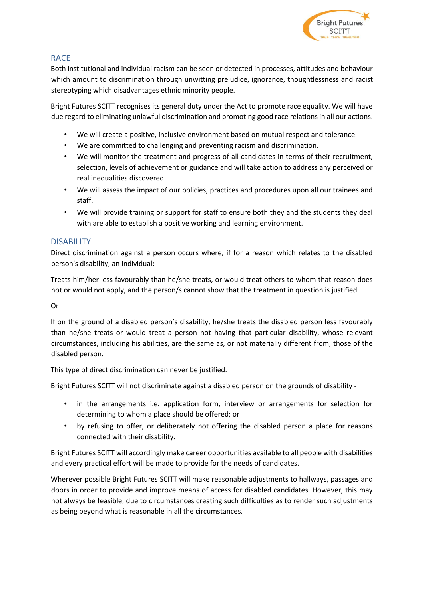

# RACE

Both institutional and individual racism can be seen or detected in processes, attitudes and behaviour which amount to discrimination through unwitting prejudice, ignorance, thoughtlessness and racist stereotyping which disadvantages ethnic minority people.

Bright Futures SCITT recognises its general duty under the Act to promote race equality. We will have due regard to eliminating unlawful discrimination and promoting good race relations in all our actions.

- We will create a positive, inclusive environment based on mutual respect and tolerance.
- We are committed to challenging and preventing racism and discrimination.
- We will monitor the treatment and progress of all candidates in terms of their recruitment, selection, levels of achievement or guidance and will take action to address any perceived or real inequalities discovered.
- We will assess the impact of our policies, practices and procedures upon all our trainees and staff.
- We will provide training or support for staff to ensure both they and the students they deal with are able to establish a positive working and learning environment.

## **DISABILITY**

Direct discrimination against a person occurs where, if for a reason which relates to the disabled person's disability, an individual:

Treats him/her less favourably than he/she treats, or would treat others to whom that reason does not or would not apply, and the person/s cannot show that the treatment in question is justified.

Or

If on the ground of a disabled person's disability, he/she treats the disabled person less favourably than he/she treats or would treat a person not having that particular disability, whose relevant circumstances, including his abilities, are the same as, or not materially different from, those of the disabled person.

This type of direct discrimination can never be justified.

Bright Futures SCITT will not discriminate against a disabled person on the grounds of disability -

- in the arrangements i.e. application form, interview or arrangements for selection for determining to whom a place should be offered; or
- by refusing to offer, or deliberately not offering the disabled person a place for reasons connected with their disability.

Bright Futures SCITT will accordingly make career opportunities available to all people with disabilities and every practical effort will be made to provide for the needs of candidates.

Wherever possible Bright Futures SCITT will make reasonable adjustments to hallways, passages and doors in order to provide and improve means of access for disabled candidates. However, this may not always be feasible, due to circumstances creating such difficulties as to render such adjustments as being beyond what is reasonable in all the circumstances.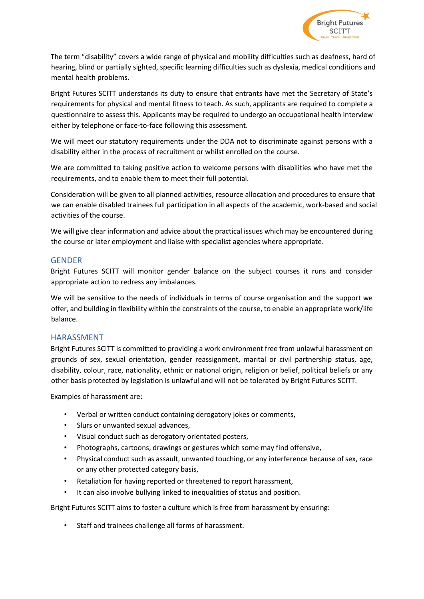

The term "disability" covers a wide range of physical and mobility difficulties such as deafness, hard of hearing, blind or partially sighted, specific learning difficulties such as dyslexia, medical conditions and mental health problems.

Bright Futures SCITT understands its duty to ensure that entrants have met the Secretary of State's requirements for physical and mental fitness to teach. As such, applicants are required to complete a questionnaire to assess this. Applicants may be required to undergo an occupational health interview either by telephone or face-to-face following this assessment.

We will meet our statutory requirements under the DDA not to discriminate against persons with a disability either in the process of recruitment or whilst enrolled on the course.

We are committed to taking positive action to welcome persons with disabilities who have met the requirements, and to enable them to meet their full potential.

Consideration will be given to all planned activities, resource allocation and procedures to ensure that we can enable disabled trainees full participation in all aspects of the academic, work-based and social activities of the course.

We will give clear information and advice about the practical issues which may be encountered during the course or later employment and liaise with specialist agencies where appropriate.

#### **GENDER**

Bright Futures SCITT will monitor gender balance on the subject courses it runs and consider appropriate action to redress any imbalances.

We will be sensitive to the needs of individuals in terms of course organisation and the support we offer, and building in flexibility within the constraints of the course, to enable an appropriate work/life balance.

#### HARASSMENT

Bright Futures SCITT is committed to providing a work environment free from unlawful harassment on grounds of sex, sexual orientation, gender reassignment, marital or civil partnership status, age, disability, colour, race, nationality, ethnic or national origin, religion or belief, political beliefs or any other basis protected by legislation is unlawful and will not be tolerated by Bright Futures SCITT.

Examples of harassment are:

- Verbal or written conduct containing derogatory jokes or comments,
- Slurs or unwanted sexual advances.
- Visual conduct such as derogatory orientated posters,
- Photographs, cartoons, drawings or gestures which some may find offensive,
- Physical conduct such as assault, unwanted touching, or any interference because of sex, race or any other protected category basis,
- Retaliation for having reported or threatened to report harassment,
- It can also involve bullying linked to inequalities of status and position.

Bright Futures SCITT aims to foster a culture which is free from harassment by ensuring:

Staff and trainees challenge all forms of harassment.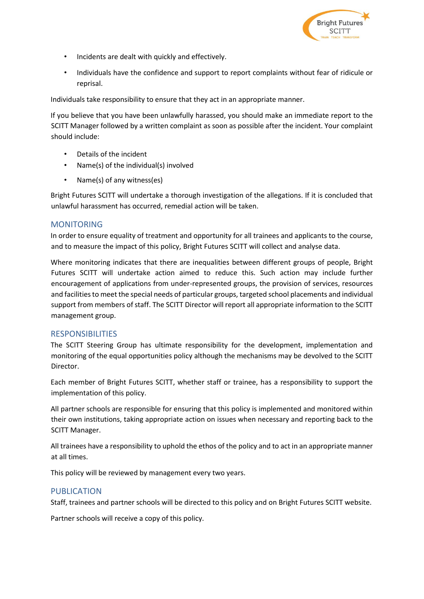

- Incidents are dealt with quickly and effectively.
- Individuals have the confidence and support to report complaints without fear of ridicule or reprisal.

Individuals take responsibility to ensure that they act in an appropriate manner.

If you believe that you have been unlawfully harassed, you should make an immediate report to the SCITT Manager followed by a written complaint as soon as possible after the incident. Your complaint should include:

- Details of the incident
- Name(s) of the individual(s) involved
- Name(s) of any witness(es)

Bright Futures SCITT will undertake a thorough investigation of the allegations. If it is concluded that unlawful harassment has occurred, remedial action will be taken.

## **MONITORING**

In order to ensure equality of treatment and opportunity for all trainees and applicants to the course, and to measure the impact of this policy, Bright Futures SCITT will collect and analyse data.

Where monitoring indicates that there are inequalities between different groups of people, Bright Futures SCITT will undertake action aimed to reduce this. Such action may include further encouragement of applications from under-represented groups, the provision of services, resources and facilities to meet the special needs of particular groups, targeted school placements and individual support from members of staff. The SCITT Director will report all appropriate information to the SCITT management group.

## RESPONSIBILITIES

The SCITT Steering Group has ultimate responsibility for the development, implementation and monitoring of the equal opportunities policy although the mechanisms may be devolved to the SCITT Director.

Each member of Bright Futures SCITT, whether staff or trainee, has a responsibility to support the implementation of this policy.

All partner schools are responsible for ensuring that this policy is implemented and monitored within their own institutions, taking appropriate action on issues when necessary and reporting back to the SCITT Manager.

All trainees have a responsibility to uphold the ethos of the policy and to act in an appropriate manner at all times.

This policy will be reviewed by management every two years.

## PUBLICATION

Staff, trainees and partner schools will be directed to this policy and on Bright Futures SCITT website.

Partner schools will receive a copy of this policy.